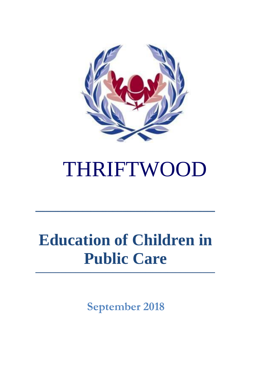

# THRIFTWOOD

# **Education of Children in Public Care**

**September 2018**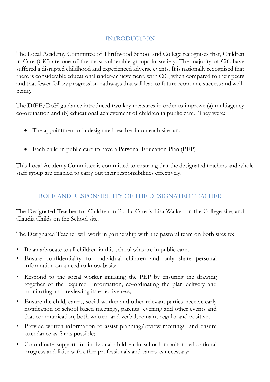#### INTRODUCTION

The Local Academy Committee of Thriftwood School and College recognises that, Children in Care (CiC) are one of the most vulnerable groups in society. The majority of CiC have suffered a disrupted childhood and experienced adverse events. It is nationally recognised that there is considerable educational under-achievement, with CiC, when compared to their peers and that fewer follow progression pathways that will lead to future economic success and wellbeing.

The DfEE/DoH guidance introduced two key measures in order to improve (a) multiagency co-ordination and (b) educational achievement of children in public care. They were:

- The appointment of a designated teacher in on each site, and
- Each child in public care to have a Personal Education Plan (PEP)

This Local Academy Committee is committed to ensuring that the designated teachers and whole staff group are enabled to carry out their responsibilities effectively.

#### ROLE AND RESPONSIBILITY OF THE DESIGNATED TEACHER

The Designated Teacher for Children in Public Care is Lisa Walker on the College site, and Claudia Childs on the School site.

The Designated Teacher will work in partnership with the pastoral team on both sites to:

- Be an advocate to all children in this school who are in public care;
- Ensure confidentiality for individual children and only share personal information on a need to know basis;
- Respond to the social worker initiating the PEP by ensuring the drawing together of the required information, co-ordinating the plan delivery and monitoring and reviewing its effectiveness;
- Ensure the child, carers, social worker and other relevant parties receive early notification of school based meetings, parents evening and other events and that communication, both written and verbal, remains regular and positive;
- Provide written information to assist planning/review meetings and ensure attendance as far as possible;
- Co-ordinate support for individual children in school, monitor educational progress and liaise with other professionals and carers as necessary;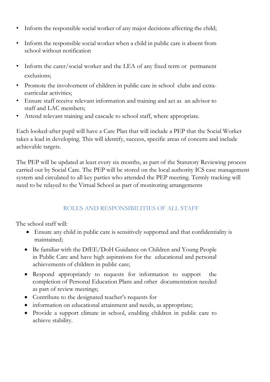- Inform the responsible social worker of any major decisions affecting the child;
- Inform the responsible social worker when a child in public care is absent from school without notification
- Inform the carer/social worker and the LEA of any fixed term or permanent exclusions;
- Promote the involvement of children in public care in school clubs and extracurricular activities;
- Ensure staff receive relevant information and training and act as an advisor to staff and LAC members;
- Attend relevant training and cascade to school staff, where appropriate.

Each looked-after pupil will have a Care Plan that will include a PEP that the Social Worker takes a lead in developing. This will identify, success, specific areas of concern and include achievable targets.

The PEP will be updated at least every six months, as part of the Statutory Reviewing process carried out by Social Care. The PEP will be stored on the local authority ICS case management system and circulated to all key parties who attended the PEP meeting. Termly tracking will need to be relayed to the Virtual School as part of monitoring arrangements

## ROLES AND RESPONSIBILITIES OF ALL STAFF

The school staff will:

- Ensure any child in public care is sensitively supported and that confidentiality is maintained;
- Be familiar with the DfEE/DoH Guidance on Children and Young People in Public Care and have high aspirations for the educational and personal achievements of children in public care;
- Respond appropriately to requests for information to support the completion of Personal Education Plans and other documentation needed as part of review meetings;
- Contribute to the designated teacher's requests for
- information on educational attainment and needs, as appropriate;
- Provide a support climate in school, enabling children in public care to achieve stability.